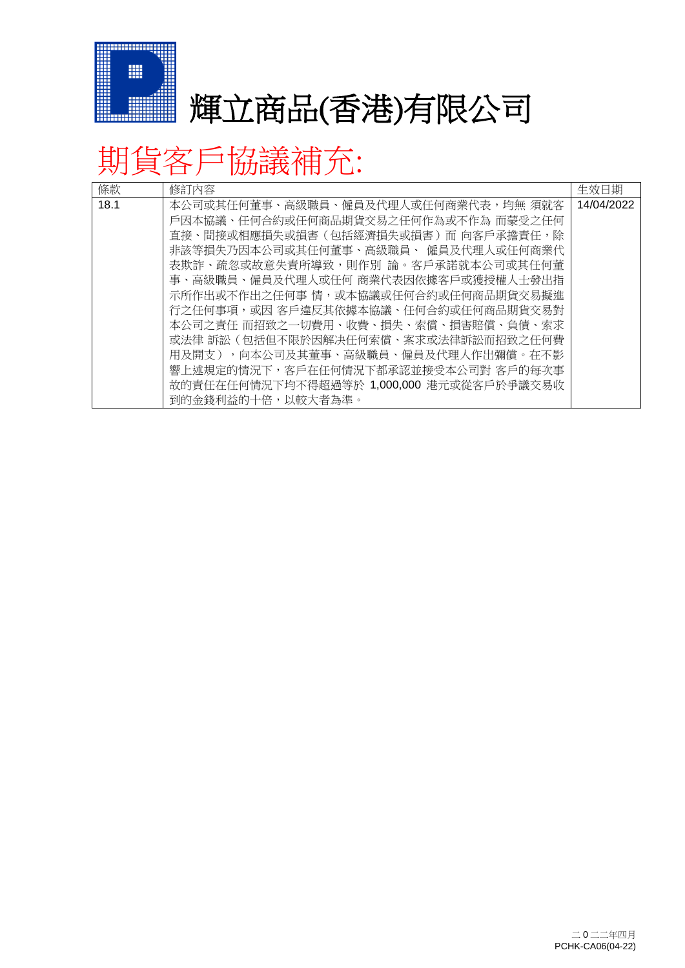

## ■ 輝立商品(香港)有限公司

## 期貨客戶協議補充:

| 條款   | 修訂內容                                     | 生效日期       |
|------|------------------------------------------|------------|
| 18.1 | 本公司或其任何董事、高級職員、僱員及代理人或任何商業代表,均無 須就客      | 14/04/2022 |
|      | 戶因本協議、任何合約或任何商品期貨交易之任何作為或不作為 而蒙受之任何      |            |
|      | 直接、間接或相應損失或損害(包括經濟損失或損害)而 向客戶承擔責任,除      |            |
|      | 非該等損失乃因本公司或其任何董事、高級職員、 僱員及代理人或任何商業代      |            |
|      | 表欺詐、疏忽或故意失責所導致,則作別 論。客戶承諾就本公司或其任何董       |            |
|      | 事、高級職員、僱員及代理人或任何 商業代表因依據客戶或獲授權人士發出指      |            |
|      | 示所作出或不作出之任何事 情,或本協議或任何合約或任何商品期貨交易擬進      |            |
|      | 行之任何事項,或因 客戶違反其依據本協議、任何合約或任何商品期貨交易對      |            |
|      | 本公司之責任 而招致之一切費用、收費、損失、索償、損害賠償、負債、索求      |            |
|      | 或法律 訴訟 (包括但不限於因解决任何索償、案求或法律訴訟而招致之任何費     |            |
|      | 用及開支),向本公司及其董事、高級職員、僱員及代理人作出彌償。在不影       |            |
|      | 響上述規定的情況下,客戶在任何情況下都承認並接受本公司對 客戶的每次事      |            |
|      | 故的責任在任何情況下均不得超過等於 1,000,000 港元或從客戶於爭議交易收 |            |
|      | 到的金錢利益的十倍,以較大者為準。                        |            |